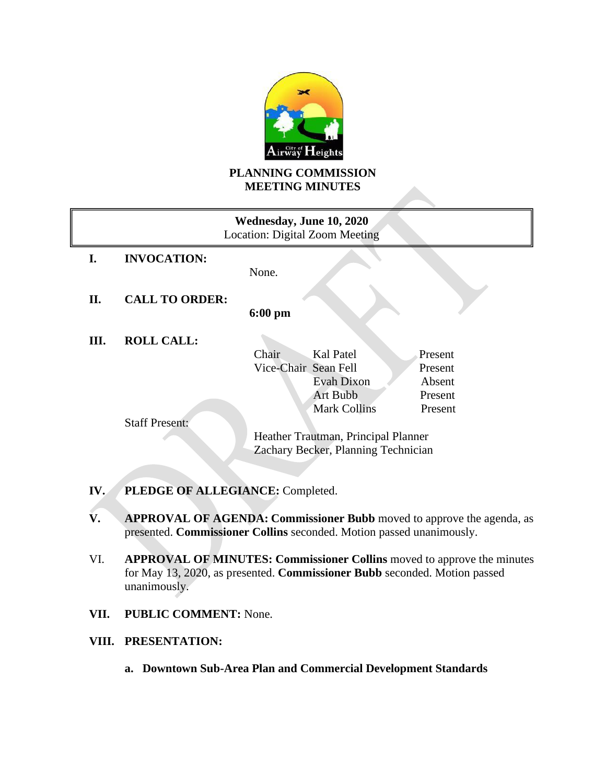

# **PLANNING COMMISSION MEETING MINUTES**

| Wednesday, June 10, 2020<br>Location: Digital Zoom Meeting |                       |                                     |
|------------------------------------------------------------|-----------------------|-------------------------------------|
| I.                                                         | <b>INVOCATION:</b>    |                                     |
|                                                            |                       | None.                               |
| П.                                                         | <b>CALL TO ORDER:</b> |                                     |
|                                                            |                       | $6:00$ pm                           |
| Ш.                                                         | <b>ROLL CALL:</b>     |                                     |
|                                                            |                       | Kal Patel<br>Chair<br>Present       |
|                                                            |                       | Vice-Chair Sean Fell<br>Present     |
|                                                            |                       | Evah Dixon<br>Absent                |
|                                                            |                       | Art Bubb<br>Present                 |
|                                                            |                       | <b>Mark Collins</b><br>Present      |
|                                                            | <b>Staff Present:</b> |                                     |
|                                                            |                       | Heather Trautman, Principal Planner |
|                                                            |                       | Zachary Becker, Planning Technician |
|                                                            |                       |                                     |

- **IV. PLEDGE OF ALLEGIANCE:** Completed.
- **V. APPROVAL OF AGENDA: Commissioner Bubb** moved to approve the agenda, as presented. **Commissioner Collins** seconded. Motion passed unanimously.
- VI. **APPROVAL OF MINUTES: Commissioner Collins** moved to approve the minutes for May 13, 2020, as presented. **Commissioner Bubb** seconded. Motion passed unanimously.
- **VII. PUBLIC COMMENT:** None.

### **VIII. PRESENTATION:**

**a. Downtown Sub-Area Plan and Commercial Development Standards**